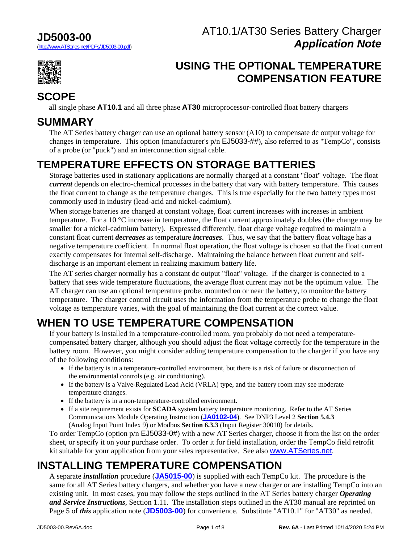### **JD5003-00**

(http://www.ATSeries.net/PDFs/JD5003-00.pdf)



## **USING THE OPTIONAL TEMPERATURE COMPENSATION FEATURE**

### **SCOPE**

all single phase **AT10.1** and all three phase **AT30** microprocessor-controlled float battery chargers

## **SUMMARY**

The AT Series battery charger can use an optional battery sensor (A10) to compensate dc output voltage for changes in temperature. This option (manufacturer's p/n EJ5033-##), also referred to as "TempCo", consists of a probe (or "puck") and an interconnection signal cable.

# **TEMPERATURE EFFECTS ON STORAGE BATTERIES**

Storage batteries used in stationary applications are normally charged at a constant "float" voltage. The float *current* depends on electro-chemical processes in the battery that vary with battery temperature. This causes the float current to change as the temperature changes. This is true especially for the two battery types most commonly used in industry (lead-acid and nickel-cadmium).

When storage batteries are charged at constant voltage, float current increases with increases in ambient temperature. For a 10 °C increase in temperature, the float current approximately doubles (the change may be smaller for a nickel-cadmium battery). Expressed differently, float charge voltage required to maintain a constant float current *decreases* as temperature *increases*. Thus, we say that the battery float voltage has a negative temperature coefficient. In normal float operation, the float voltage is chosen so that the float current exactly compensates for internal self-discharge. Maintaining the balance between float current and selfdischarge is an important element in realizing maximum battery life.

The AT series charger normally has a constant dc output "float" voltage. If the charger is connected to a battery that sees wide temperature fluctuations, the average float current may not be the optimum value. The AT charger can use an optional temperature probe, mounted on or near the battery, to monitor the battery temperature. The charger control circuit uses the information from the temperature probe to change the float voltage as temperature varies, with the goal of maintaining the float current at the correct value.

# **WHEN TO USE TEMPERATURE COMPENSATION**

If your battery is installed in a temperature-controlled room, you probably do not need a temperaturecompensated battery charger, although you should adjust the float voltage correctly for the temperature in the battery room. However, you might consider adding temperature compensation to the charger if you have any of the following conditions:

- If the battery is in a temperature-controlled environment, but there is a risk of failure or disconnection of the environmental controls (e.g. air conditioning).
- If the battery is a Valve-Regulated Lead Acid (VRLA) type, and the battery room may see moderate temperature changes.
- If the battery is in a non-temperature-controlled environment.
- If a site requirement exists for **SCADA** system battery temperature monitoring. Refer to the AT Series Communications Module Operating Instruction (**[JA0102-04](http://www.atseries.net/PDFs/JA0102-04.pdf)**). See DNP3 Level 2 **Section 5.4.3** (Analog Input Point Index 9) or Modbus **Section 6.3.3** (Input Register 30010) for details.

To order TempCo (option p/n EJ5033-0#) with a new AT Series charger, choose it from the list on the order sheet, or specify it on your purchase order. To order it for field installation, order the TempCo field retrofit kit suitable for your application from your sales representative. See also [www.ATSeries.net](http://www.atseries.net/).

# **INSTALLING TEMPERATURE COMPENSATION**

A separate *installation* procedure (**[JA5015-00](http://www.atseries.net/PDFs/JA5015-00.pdf)**) is supplied with each TempCo kit. The procedure is the same for all AT Series battery chargers, and whether you have a new charger or are installing TempCo into an existing unit. In most cases, you may follow the steps outlined in the AT Series battery charger *Operating and Service Instructions*, Section 1.11. The installation steps outlined in the AT30 manual are reprinted on Page 5 of *this* application note (**JD5003-00**) for convenience. Substitute "AT10.1" for "AT30" as needed.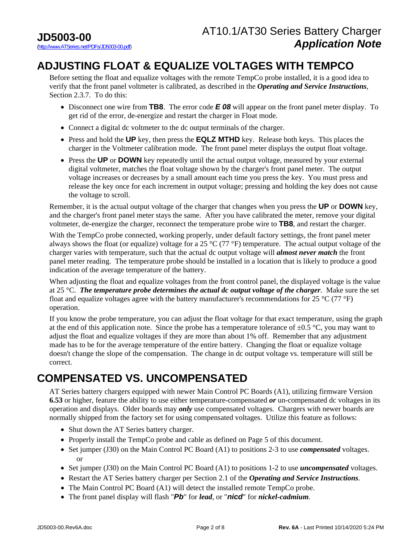### **ADJUSTING FLOAT & EQUALIZE VOLTAGES WITH TEMPCO**

Before setting the float and equalize voltages with the remote TempCo probe installed, it is a good idea to verify that the front panel voltmeter is calibrated, as described in the *Operating and Service Instructions*, Section 2.3.7. To do this:

- Disconnect one wire from **TB8**. The error code *E 08* will appear on the front panel meter display. To get rid of the error, de-energize and restart the charger in Float mode.
- Connect a digital dc voltmeter to the dc output terminals of the charger.
- Press and hold the **UP** key, then press the **EQLZ MTHD** key. Release both keys. This places the charger in the Voltmeter calibration mode. The front panel meter displays the output float voltage.
- Press the **UP** or **DOWN** key repeatedly until the actual output voltage, measured by your external digital voltmeter, matches the float voltage shown by the charger's front panel meter. The output voltage increases or decreases by a small amount each time you press the key. You must press and release the key once for each increment in output voltage; pressing and holding the key does not cause the voltage to scroll.

Remember, it is the actual output voltage of the charger that changes when you press the **UP** or **DOWN** key, and the charger's front panel meter stays the same. After you have calibrated the meter, remove your digital voltmeter, de-energize the charger, reconnect the temperature probe wire to **TB8**, and restart the charger.

With the TempCo probe connected, working properly, under default factory settings, the front panel meter always shows the float (or equalize) voltage for a 25  $^{\circ}$ C (77  $^{\circ}$ F) temperature. The actual output voltage of the charger varies with temperature, such that the actual dc output voltage will *almost never match* the front panel meter reading. The temperature probe should be installed in a location that is likely to produce a good indication of the average temperature of the battery.

When adjusting the float and equalize voltages from the front control panel, the displayed voltage is the value at 25 °C. *The temperature probe determines the actual dc output voltage of the charger*. Make sure the set float and equalize voltages agree with the battery manufacturer's recommendations for 25  $^{\circ}$ C (77  $^{\circ}$ F) operation.

If you know the probe temperature, you can adjust the float voltage for that exact temperature, using the graph at the end of this application note. Since the probe has a temperature tolerance of  $\pm 0.5$  °C, you may want to adjust the float and equalize voltages if they are more than about 1% off. Remember that any adjustment made has to be for the average temperature of the entire battery. Changing the float or equalize voltage doesn't change the slope of the compensation. The change in dc output voltage vs. temperature will still be correct.

## **COMPENSATED VS. UNCOMPENSATED**

AT Series battery chargers equipped with newer Main Control PC Boards (A1), utilizing firmware Version **6.53** or higher, feature the ability to use either temperature-compensated *or* un-compensated dc voltages in its operation and displays. Older boards may *only* use compensated voltages. Chargers with newer boards are normally shipped from the factory set for using compensated voltages. Utilize this feature as follows:

- Shut down the AT Series battery charger.
- Properly install the TempCo probe and cable as defined on Page 5 of this document.
- Set jumper (J30) on the Main Control PC Board (A1) to positions 2-3 to use *compensated* voltages. or
- Set jumper (J30) on the Main Control PC Board (A1) to positions 1-2 to use *uncompensated* voltages.
- Restart the AT Series battery charger per Section 2.1 of the *Operating and Service Instructions*.
- The Main Control PC Board (A1) will detect the installed remote TempCo probe.
- The front panel display will flash "*Pb*" for *lead*, or "*nicd*" for *nickel-cadmium*.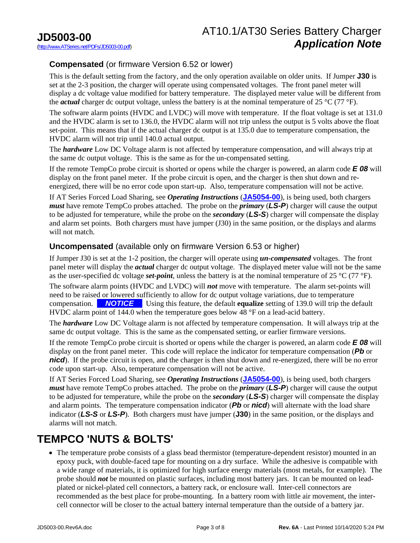### AT10.1/AT30 Series Battery Charger *Application Note*

### **Compensated** (or firmware Version 6.52 or lower)

This is the default setting from the factory, and the only operation available on older units. If Jumper **J30** is set at the 2-3 position, the charger will operate using compensated voltages. The front panel meter will display a dc voltage value modified for battery temperature. The displayed meter value will be different from the *actual* charger dc output voltage, unless the battery is at the nominal temperature of 25 °C (77 °F).

The software alarm points (HVDC and LVDC) will move with temperature. If the float voltage is set at 131.0 and the HVDC alarm is set to 136.0, the HVDC alarm will not trip unless the output is 5 volts above the float set-point. This means that if the actual charger dc output is at 135.0 due to temperature compensation, the HVDC alarm will not trip until 140.0 actual output.

The *hardware* Low DC Voltage alarm is not affected by temperature compensation, and will always trip at the same dc output voltage. This is the same as for the un-compensated setting.

If the remote TempCo probe circuit is shorted or opens while the charger is powered, an alarm code *E 08* will display on the front panel meter. If the probe circuit is open, and the charger is then shut down and reenergized, there will be no error code upon start-up. Also, temperature compensation will not be active.

If AT Series Forced Load Sharing, see *Operating Instructions* (**[JA5054-00](http://www.atseries.net/PDFs/JA5054-00.pdf)**), is being used, both chargers *must* have remote TempCo probes attached. The probe on the *primary* (*LS-P*) charger will cause the output to be adjusted for temperature, while the probe on the *secondary* (*LS-S*) charger will compensate the display and alarm set points. Both chargers must have jumper (J30) in the same position, or the displays and alarms will not match.

#### **Uncompensated** (available only on firmware Version 6.53 or higher)

If Jumper J30 is set at the 1-2 position, the charger will operate using *un-compensated* voltages. The front panel meter will display the *actual* charger dc output voltage. The displayed meter value will not be the same as the user-specified dc voltage *set-point*, unless the battery is at the nominal temperature of 25 °C (77 °F).

The software alarm points (HVDC and LVDC) will *not* move with temperature. The alarm set-points will need to be raised or lowered sufficiently to allow for dc output voltage variations, due to temperature compensation. *NOTICE*Using this feature, the default **equalize** setting of 139.0 will trip the default HVDC alarm point of 144.0 when the temperature goes below 48 °F on a lead-acid battery.

The *hardware* Low DC Voltage alarm is not affected by temperature compensation. It will always trip at the same dc output voltage. This is the same as the compensated setting, or earlier firmware versions.

If the remote TempCo probe circuit is shorted or opens while the charger is powered, an alarm code *E 08* will display on the front panel meter. This code will replace the indicator for temperature compensation (*Pb* or *nicd*). If the probe circuit is open, and the charger is then shut down and re-energized, there will be no error code upon start-up. Also, temperature compensation will not be active.

If AT Series Forced Load Sharing, see *Operating Instructions* (**[JA5054-00](http://www.atseries.net/PDFs/JA5054-00.pdf)**), is being used, both chargers *must* have remote TempCo probes attached. The probe on the *primary* (*LS-P*) charger will cause the output to be adjusted for temperature, while the probe on the *secondary* (*LS-S*) charger will compensate the display and alarm points. The temperature compensation indicator (*Pb* or *nicd*) will alternate with the load share indicator (*LS-S* or *LS-P*). Both chargers must have jumper (**J30**) in the same position, or the displays and alarms will not match.

### **TEMPCO 'NUTS & BOLTS'**

• The temperature probe consists of a glass bead thermistor (temperature-dependent resistor) mounted in an epoxy puck, with double-faced tape for mounting on a dry surface. While the adhesive is compatible with a wide range of materials, it is optimized for high surface energy materials (most metals, for example). The probe should *not* be mounted on plastic surfaces, including most battery jars. It can be mounted on leadplated or nickel-plated cell connectors, a battery rack, or enclosure wall. Inter-cell connectors are recommended as the best place for probe-mounting. In a battery room with little air movement, the intercell connector will be closer to the actual battery internal temperature than the outside of a battery jar.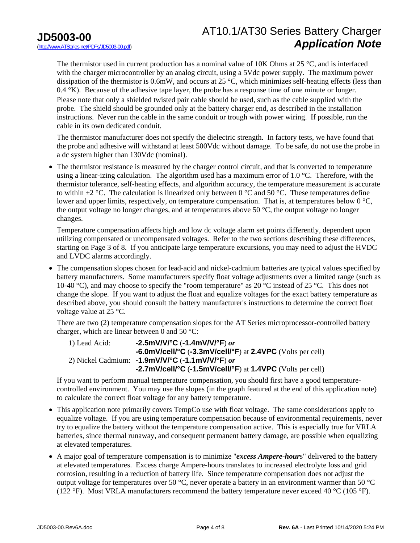### AT10.1/AT30 Series Battery Charger *Application Note*

The thermistor used in current production has a nominal value of 10K Ohms at 25 °C, and is interfaced with the charger microcontroller by an analog circuit, using a 5Vdc power supply. The maximum power dissipation of the thermistor is 0.6mW, and occurs at 25 °C, which minimizes self-heating effects (less than 0.4 °K). Because of the adhesive tape layer, the probe has a response time of one minute or longer. Please note that only a shielded twisted pair cable should be used, such as the cable supplied with the probe. The shield should be grounded only at the battery charger end, as described in the installation instructions. Never run the cable in the same conduit or trough with power wiring. If possible, run the cable in its own dedicated conduit.

The thermistor manufacturer does not specify the dielectric strength. In factory tests, we have found that the probe and adhesive will withstand at least 500Vdc without damage. To be safe, do not use the probe in a dc system higher than 130Vdc (nominal).

• The thermistor resistance is measured by the charger control circuit, and that is converted to temperature using a linear-izing calculation. The algorithm used has a maximum error of 1.0 °C. Therefore, with the thermistor tolerance, self-heating effects, and algorithm accuracy, the temperature measurement is accurate to within  $\pm 2$  °C. The calculation is linearized only between 0 °C and 50 °C. These temperatures define lower and upper limits, respectively, on temperature compensation. That is, at temperatures below 0 °C, the output voltage no longer changes, and at temperatures above 50 °C, the output voltage no longer changes.

Temperature compensation affects high and low dc voltage alarm set points differently, dependent upon utilizing compensated or uncompensated voltages. Refer to the two sections describing these differences, starting on Page 3 of 8. If you anticipate large temperature excursions, you may need to adjust the HVDC and LVDC alarms accordingly.

 The compensation slopes chosen for lead-acid and nickel-cadmium batteries are typical values specified by battery manufacturers. Some manufacturers specify float voltage adjustments over a limited range (such as 10-40 °C), and may choose to specify the "room temperature" as 20 °C instead of 25 °C. This does not change the slope. If you want to adjust the float and equalize voltages for the exact battery temperature as described above, you should consult the battery manufacturer's instructions to determine the correct float voltage value at 25 °C.

There are two (2) temperature compensation slopes for the AT Series microprocessor-controlled battery charger, which are linear between 0 and 50 °C:

 1) Lead Acid: **-2.5mV/V/°C** (**-1.4mV/V/°F**) *or*  **-6.0mV/cell/°C** (**-3.3mV/cell/°F**) at **2.4VPC** (Volts per cell) 2) Nickel Cadmium: **-1.9mV/V/°C** (**-1.1mV/V/°F**) *or*  **-2.7mV/cell/°C** (**-1.5mV/cell/°F**) at **1.4VPC** (Volts per cell)

If you want to perform manual temperature compensation, you should first have a good temperaturecontrolled environment. You may use the slopes (in the graph featured at the end of this application note) to calculate the correct float voltage for any battery temperature.

- This application note primarily covers TempCo use with float voltage. The same considerations apply to equalize voltage. If you are using temperature compensation because of environmental requirements, never try to equalize the battery without the temperature compensation active. This is especially true for VRLA batteries, since thermal runaway, and consequent permanent battery damage, are possible when equalizing at elevated temperatures.
- A major goal of temperature compensation is to minimize "*excess Ampere-hour*s" delivered to the battery at elevated temperatures. Excess charge Ampere-hours translates to increased electrolyte loss and grid corrosion, resulting in a reduction of battery life. Since temperature compensation does not adjust the output voltage for temperatures over 50 °C, never operate a battery in an environment warmer than 50 °C (122 °F). Most VRLA manufacturers recommend the battery temperature never exceed 40 °C (105 °F).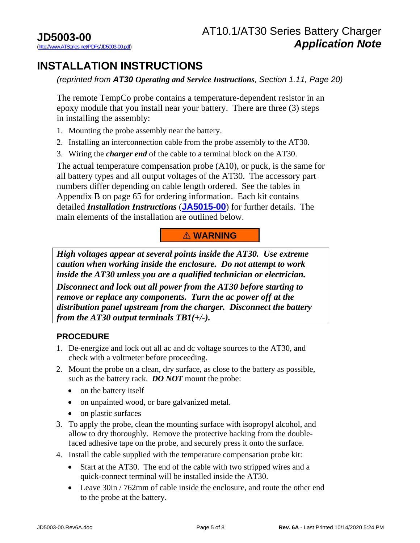## **INSTALLATION INSTRUCTIONS**

*(reprinted from AT30 Operating and Service Instructions, Section 1.11, Page 20)*

The remote TempCo probe contains a temperature-dependent resistor in an epoxy module that you install near your battery. There are three (3) steps in installing the assembly:

- 1. Mounting the probe assembly near the battery.
- 2. Installing an interconnection cable from the probe assembly to the AT30.
- 3. Wiring the *charger end* of the cable to a terminal block on the AT30.

The actual temperature compensation probe (A10), or puck, is the same for all battery types and all output voltages of the AT30. The accessory part numbers differ depending on cable length ordered. See the tables in Appendix B on page 65 for ordering information. Each kit contains detailed *Installation Instructions* (**[JA5015-00](http://www.atseries.net/PDFs/JA5015-00.pdf)**) for further details. The main elements of the installation are outlined below.

### ! **WARNING**

*High voltages appear at several points inside the AT30. Use extreme caution when working inside the enclosure. Do not attempt to work inside the AT30 unless you are a qualified technician or electrician.* 

*Disconnect and lock out all power from the AT30 before starting to remove or replace any components. Turn the ac power off at the distribution panel upstream from the charger. Disconnect the battery from the AT30 output terminals TB1(+/-).*

### **PROCEDURE**

- 1. De-energize and lock out all ac and dc voltage sources to the AT30, and check with a voltmeter before proceeding.
- 2. Mount the probe on a clean, dry surface, as close to the battery as possible, such as the battery rack. *DO NOT* mount the probe:
	- on the battery itself
	- on unpainted wood, or bare galvanized metal.
	- on plastic surfaces
- 3. To apply the probe, clean the mounting surface with isopropyl alcohol, and allow to dry thoroughly. Remove the protective backing from the doublefaced adhesive tape on the probe, and securely press it onto the surface.
- 4. Install the cable supplied with the temperature compensation probe kit:
	- Start at the AT30. The end of the cable with two stripped wires and a quick-connect terminal will be installed inside the AT30.
	- Leave 30in / 762mm of cable inside the enclosure, and route the other end to the probe at the battery.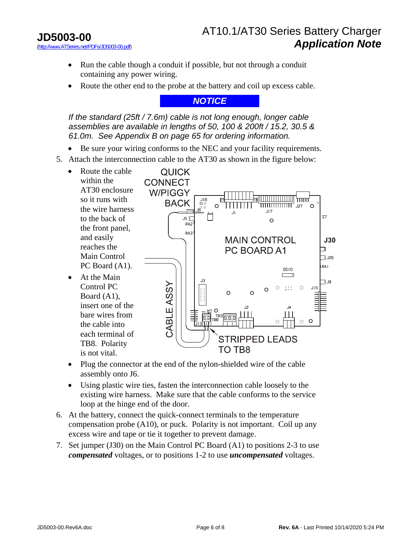- Run the cable though a conduit if possible, but not through a conduit containing any power wiring.
- Route the other end to the probe at the battery and coil up excess cable.

*NOTICE* 

*If the standard (25ft / 7.6m) cable is not long enough, longer cable assemblies are available in lengths of 50, 100 & 200ft / 15.2, 30.5 & 61.0m. See Appendix B on page 65 for ordering information.* 

- Be sure your wiring conforms to the NEC and your facility requirements.
- 5. Attach the interconnection cable to the AT30 as shown in the figure below:



- Plug the connector at the end of the nylon-shielded wire of the cable assembly onto J6.
- Using plastic wire ties, fasten the interconnection cable loosely to the existing wire harness. Make sure that the cable conforms to the service loop at the hinge end of the door.
- 6. At the battery, connect the quick-connect terminals to the temperature compensation probe (A10), or puck. Polarity is not important. Coil up any excess wire and tape or tie it together to prevent damage.
- 7. Set jumper (J30) on the Main Control PC Board (A1) to positions 2-3 to use *compensated* voltages, or to positions 1-2 to use *uncompensated* voltages.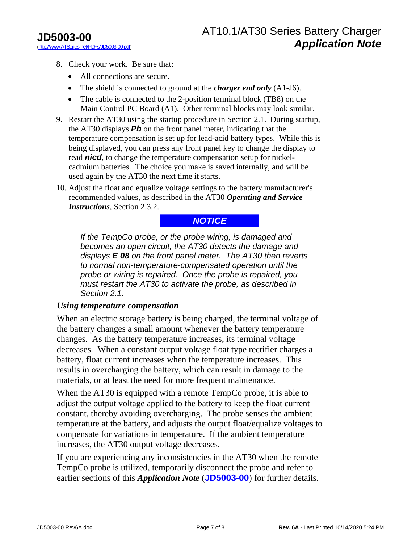- 8. Check your work. Be sure that:
	- All connections are secure.
	- The shield is connected to ground at the *charger end only* (A1-J6).
	- The cable is connected to the 2-position terminal block (TB8) on the Main Control PC Board (A1). Other terminal blocks may look similar.
- 9. Restart the AT30 using the startup procedure in Section 2.1. During startup, the AT30 displays *Pb* on the front panel meter, indicating that the temperature compensation is set up for lead-acid battery types. While this is being displayed, you can press any front panel key to change the display to read *nicd*, to change the temperature compensation setup for nickelcadmium batteries. The choice you make is saved internally, and will be used again by the AT30 the next time it starts.
- 10. Adjust the float and equalize voltage settings to the battery manufacturer's recommended values, as described in the AT30 *Operating and Service Instructions*, Section 2.3.2.

#### *NOTICE*

*If the TempCo probe, or the probe wiring, is damaged and becomes an open circuit, the AT30 detects the damage and displays E 08 on the front panel meter. The AT30 then reverts to normal non-temperature-compensated operation until the probe or wiring is repaired. Once the probe is repaired, you must restart the AT30 to activate the probe, as described in Section 2.1.* 

#### *Using temperature compensation*

When an electric storage battery is being charged, the terminal voltage of the battery changes a small amount whenever the battery temperature changes. As the battery temperature increases, its terminal voltage decreases. When a constant output voltage float type rectifier charges a battery, float current increases when the temperature increases. This results in overcharging the battery, which can result in damage to the materials, or at least the need for more frequent maintenance.

When the AT30 is equipped with a remote TempCo probe, it is able to adjust the output voltage applied to the battery to keep the float current constant, thereby avoiding overcharging. The probe senses the ambient temperature at the battery, and adjusts the output float/equalize voltages to compensate for variations in temperature. If the ambient temperature increases, the AT30 output voltage decreases.

If you are experiencing any inconsistencies in the AT30 when the remote TempCo probe is utilized, temporarily disconnect the probe and refer to earlier sections of this *Application Note* (**[JD5003-00](http://www.atseries.net/PDFs/JD5003-00.pdf)**) for further details.